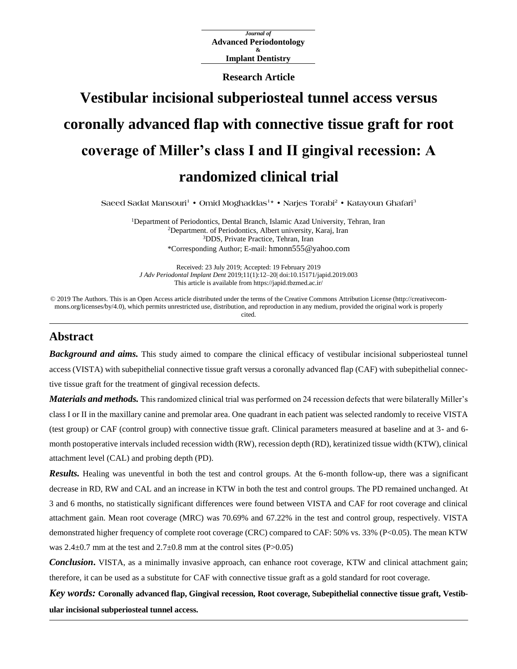*Journal of* **Advanced Periodontology & Implant Dentistry**

**Research Article**

# **Vestibular incisional subperiosteal tunnel access versus coronally advanced flap with connective tissue graft for root coverage of Miller's class I and II gingival recession: A randomized clinical trial**

**Saeed Sadat Mansouri<sup>1</sup> • Omid Moghaddas<sup>1</sup> \* • Narjes Torabi<sup>2</sup> • Katayoun Ghafari<sup>3</sup>**

<sup>1</sup>Department of Periodontics, Dental Branch, Islamic Azad University, Tehran, Iran <sup>2</sup>Department. of Periodontics, Albert university, Karaj, Iran <sup>3</sup>DDS, Private Practice, Tehran, Iran \*Corresponding Author; E-mail: hmonn555@yahoo.com

Received: 23 July 2019; Accepted: 19 February 2019 *J Adv Periodontal Implant Dent* 2019;11(1):12–20[| doi:10.15171/japid.2019.003](http://dx.doi.org/10.15171/japid.2019.003) This article is available from https://japid.tbzmed.ac.ir/

© 2019 The Authors. This is an Open Access article distributed under the terms of the Creative Commons Attribution License (http://creativecommons.org/licenses/by/4.0), which permits unrestricted use, distribution, and reproduction in any medium, provided the original work is properly cited.

# **Abstract**

*Background and aims.* This study aimed to compare the clinical efficacy of vestibular incisional subperiosteal tunnel access (VISTA) with subepithelial connective tissue graft versus a coronally advanced flap (CAF) with subepithelial connective tissue graft for the treatment of gingival recession defects.

*Materials and methods.* This randomized clinical trial was performed on 24 recession defects that were bilaterally Miller's class I or II in the maxillary canine and premolar area. One quadrant in each patient was selected randomly to receive VISTA (test group) or CAF (control group) with connective tissue graft. Clinical parameters measured at baseline and at 3- and 6 month postoperative intervals included recession width (RW), recession depth (RD), keratinized tissue width (KTW), clinical attachment level (CAL) and probing depth (PD).

*Results.* Healing was uneventful in both the test and control groups. At the 6-month follow-up, there was a significant decrease in RD, RW and CAL and an increase in KTW in both the test and control groups. The PD remained unchanged. At 3 and 6 months, no statistically significant differences were found between VISTA and CAF for root coverage and clinical attachment gain. Mean root coverage (MRC) was 70.69% and 67.22% in the test and control group, respectively. VISTA demonstrated higher frequency of complete root coverage (CRC) compared to CAF: 50% vs. 33% (P<0.05). The mean KTW was  $2.4\pm0.7$  mm at the test and  $2.7\pm0.8$  mm at the control sites (P $>0.05$ )

*Conclusion***.** VISTA, as a minimally invasive approach, can enhance root coverage, KTW and clinical attachment gain; therefore, it can be used as a substitute for CAF with connective tissue graft as a gold standard for root coverage.

*Key words:* **Coronally advanced flap, Gingival recession, Root coverage, Subepithelial connective tissue graft, Vestibular incisional subperiosteal tunnel access.**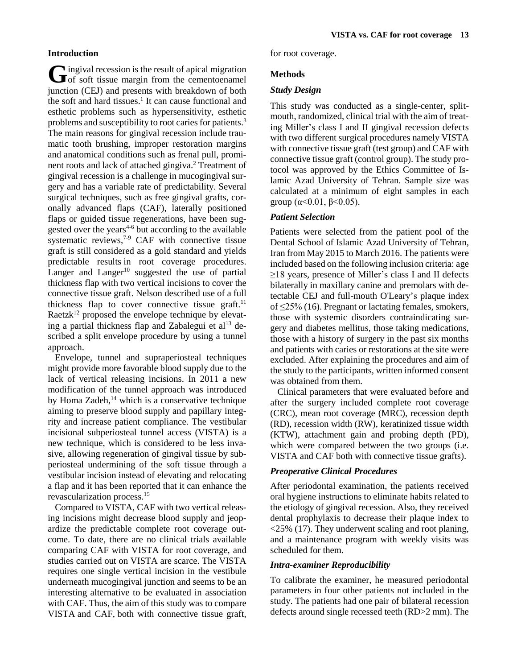## **Introduction**

ingival recession is the result of apical migration Gingival recession is the result of apical migration<br>of soft tissue margin from the cementoenamel junction (CEJ) and presents with breakdown of both the soft and hard tissues. 1 It can cause functional and esthetic problems such as hypersensitivity, esthetic problems and susceptibility to root caries for patients.<sup>3</sup> The main reasons for gingival recession include traumatic tooth brushing, improper restoration margins and anatomical conditions such as frenal pull, prominent roots and lack of attached gingiva. <sup>2</sup> Treatment of gingival recession is a challenge in mucogingival surgery and has a variable rate of predictability. Several surgical techniques, such as free gingival grafts, coronally advanced flaps (CAF), laterally positioned flaps or guided tissue regenerations, have been suggested over the years $4-6$  but according to the available systematic reviews, $7-9$  CAF with connective tissue graft is still considered as a gold standard and yields predictable results in root coverage procedures. Langer and  $Langer^{10}$  suggested the use of partial thickness flap with two vertical incisions to cover the connective tissue graft. Nelson described use of a full thickness flap to cover connective tissue graft.<sup>11</sup> Raetz $k^{12}$  proposed the envelope technique by elevating a partial thickness flap and Zabalegui et  $al<sup>13</sup>$  described a split envelope procedure by using a tunnel approach.

Envelope, tunnel and supraperiosteal techniques might provide more favorable blood supply due to the lack of vertical releasing incisions. In 2011 a new modification of the tunnel approach was introduced by Homa Zadeh, $14$  which is a conservative technique aiming to preserve blood supply and papillary integrity and increase patient compliance. The vestibular incisional subperiosteal tunnel access (VISTA) is a new technique, which is considered to be less invasive, allowing regeneration of gingival tissue by subperiosteal undermining of the soft tissue through a vestibular incision instead of elevating and relocating a flap and it has been reported that it can enhance the revascularization process. 15

Compared to VISTA, CAF with two vertical releasing incisions might decrease blood supply and jeopardize the predictable complete root coverage outcome. To date, there are no clinical trials available comparing CAF with VISTA for root coverage, and studies carried out on VISTA are scarce. The VISTA requires one single vertical incision in the vestibule underneath mucogingival junction and seems to be an interesting alternative to be evaluated in association with CAF. Thus, the aim of this study was to compare VISTA and CAF, both with connective tissue graft, for root coverage.

# **Methods**

## *Study Design*

This study was conducted as a single-center, splitmouth, randomized, clinical trial with the aim of treating Miller's class I and II gingival recession defects with two different surgical procedures namely VISTA with connective tissue graft (test group) and CAF with connective tissue graft (control group). The study protocol was approved by the Ethics Committee of Islamic Azad University of Tehran. Sample size was calculated at a minimum of eight samples in each group ( $\alpha$ <0.01,  $\beta$  <0.05).

## *Patient Selection*

Patients were selected from the patient pool of the Dental School of Islamic Azad University of Tehran, Iran from May 2015 to March 2016. The patients were included based on the following inclusion criteria: age ≥18 years, presence of Miller's class I and II defects bilaterally in maxillary canine and premolars with detectable CEJ and full-mouth O'Leary's plaque index of ≤25% (16). Pregnant or lactating females, smokers, those with systemic disorders contraindicating surgery and diabetes mellitus, those taking medications, those with a history of surgery in the past six months and patients with caries or restorations at the site were excluded. After explaining the procedures and aim of the study to the participants, written informed consent was obtained from them.

Clinical parameters that were evaluated before and after the surgery included complete root coverage (CRC), mean root coverage (MRC), recession depth (RD), recession width (RW), keratinized tissue width (KTW), attachment gain and probing depth (PD), which were compared between the two groups (*i.e.*) VISTA and CAF both with connective tissue grafts).

## *Preoperative Clinical Procedures*

After periodontal examination, the patients received oral hygiene instructions to eliminate habits related to the etiology of gingival recession. Also, they received dental prophylaxis to decrease their plaque index to <25% (17). They underwent scaling and root planing, and a maintenance program with weekly visits was scheduled for them.

## *Intra-examiner Reproducibility*

To calibrate the examiner, he measured periodontal parameters in four other patients not included in the study. The patients had one pair of bilateral recession defects around single recessed teeth (RD>2 mm). The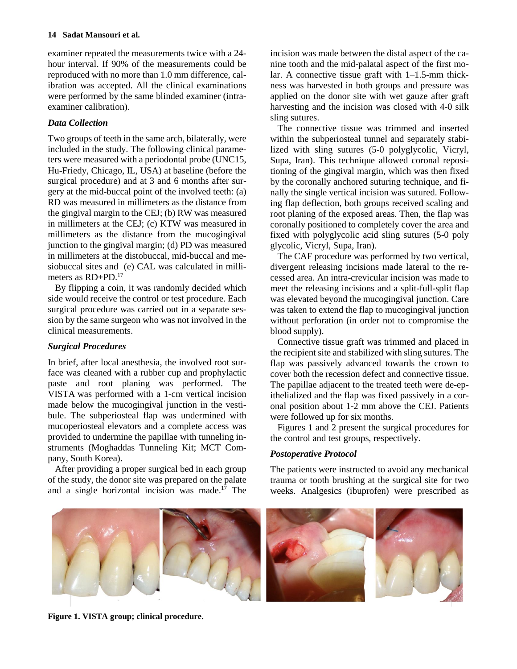examiner repeated the measurements twice with a 24 hour interval. If 90% of the measurements could be reproduced with no more than 1.0 mm difference, calibration was accepted. All the clinical examinations were performed by the same blinded examiner (intraexaminer calibration).

# *Data Collection*

Two groups of teeth in the same arch, bilaterally, were included in the study. The following clinical parameters were measured with a periodontal probe (UNC15, Hu-Friedy, Chicago, IL, USA) at baseline (before the surgical procedure) and at 3 and 6 months after surgery at the mid-buccal point of the involved teeth: (a) RD was measured in millimeters as the distance from the gingival margin to the CEJ; (b) RW was measured in millimeters at the CEJ; (c) KTW was measured in millimeters as the distance from the mucogingival junction to the gingival margin; (d) PD was measured in millimeters at the distobuccal, mid-buccal and mesiobuccal sites and (e) CAL was calculated in millimeters as RD+PD. 17

By flipping a coin, it was randomly decided which side would receive the control or test procedure. Each surgical procedure was carried out in a separate session by the same surgeon who was not involved in the clinical measurements.

# *Surgical Procedures*

In brief, after local anesthesia, the involved root surface was cleaned with a rubber cup and prophylactic paste and root planing was performed. The VISTA was performed with a 1-cm vertical incision made below the mucogingival junction in the vestibule. The subperiosteal flap was undermined with mucoperiosteal elevators and a complete access was provided to undermine the papillae with tunneling instruments (Moghaddas Tunneling Kit; MCT Company, South Korea).

After providing a proper surgical bed in each group of the study, the donor site was prepared on the palate and a single horizontal incision was made. <sup>17</sup> The

incision was made between the distal aspect of the canine tooth and the mid-palatal aspect of the first molar. A connective tissue graft with  $1-1.5$ -mm thickness was harvested in both groups and pressure was applied on the donor site with wet gauze after graft harvesting and the incision was closed with 4-0 silk sling sutures.

The connective tissue was trimmed and inserted within the subperiosteal tunnel and separately stabilized with sling sutures (5-0 polyglycolic, Vicryl, Supa, Iran). This technique allowed coronal repositioning of the gingival margin, which was then fixed by the coronally anchored suturing technique, and finally the single vertical incision was sutured. Following flap deflection, both groups received scaling and root planing of the exposed areas. Then, the flap was coronally positioned to completely cover the area and fixed with polyglycolic acid sling sutures (5-0 poly glycolic, Vicryl, Supa, Iran).

The CAF procedure was performed by two vertical, divergent releasing incisions made lateral to the recessed area. An intra-crevicular incision was made to meet the releasing incisions and a split-full-split flap was elevated beyond the mucogingival junction. Care was taken to extend the flap to mucogingival junction without perforation (in order not to compromise the blood supply).

Connective tissue graft was trimmed and placed in the recipient site and stabilized with sling sutures. The flap was passively advanced towards the crown to cover both the recession defect and connective tissue. The papillae adjacent to the treated teeth were de-epithelialized and the flap was fixed passively in a coronal position about 1-2 mm above the CEJ. Patients were followed up for six months.

Figures 1 and 2 present the surgical procedures for the control and test groups, respectively.

# *Postoperative Protocol*

The patients were instructed to avoid any mechanical trauma or tooth brushing at the surgical site for two weeks. Analgesics (ibuprofen) were prescribed as



**Figure 1. VISTA group; clinical procedure.**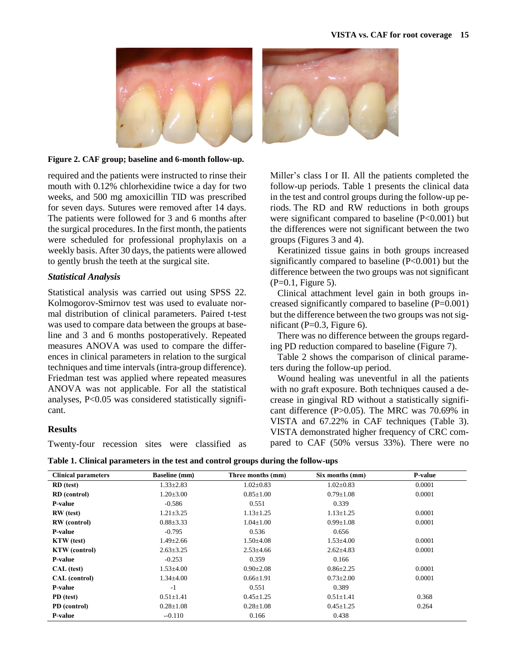

#### **Figure 2. CAF group; baseline and 6-month follow-up.**

required and the patients were instructed to rinse their mouth with 0.12% chlorhexidine twice a day for two weeks, and 500 mg amoxicillin TID was prescribed for seven days. Sutures were removed after 14 days. The patients were followed for 3 and 6 months after the surgical procedures. In the first month, the patients were scheduled for professional prophylaxis on a weekly basis. After 30 days, the patients were allowed to gently brush the teeth at the surgical site.

#### *Statistical Analysis*

Statistical analysis was carried out using SPSS 22. Kolmogorov-Smirnov test was used to evaluate normal distribution of clinical parameters. Paired t-test was used to compare data between the groups at baseline and 3 and 6 months postoperatively. Repeated measures ANOVA was used to compare the differences in clinical parameters in relation to the surgical techniques and time intervals (intra-group difference). Friedman test was applied where repeated measures ANOVA was not applicable. For all the statistical analyses, P<0.05 was considered statistically significant.

#### **Results**

Twenty-four recession sites were classified as



Miller's class I or II. All the patients completed the follow-up periods. Table 1 presents the clinical data in the test and control groups during the follow-up periods. The RD and RW reductions in both groups were significant compared to baseline  $(P<0.001)$  but the differences were not significant between the two groups (Figures 3 and 4).

Keratinized tissue gains in both groups increased significantly compared to baseline (P<0.001) but the difference between the two groups was not significant  $(P=0.1,$  Figure 5).

Clinical attachment level gain in both groups increased significantly compared to baseline (P=0.001) but the difference between the two groups was not significant ( $P=0.3$ , Figure 6).

There was no difference between the groups regarding PD reduction compared to baseline (Figure 7).

Table 2 shows the comparison of clinical parameters during the follow-up period.

Wound healing was uneventful in all the patients with no graft exposure. Both techniques caused a decrease in gingival RD without a statistically significant difference (P>0.05). The MRC was 70.69% in VISTA and 67.22% in CAF techniques (Table 3). VISTA demonstrated higher frequency of CRC compared to CAF (50% versus 33%)*.* There were no

|  |  | Table 1. Clinical parameters in the test and control groups during the follow-ups |
|--|--|-----------------------------------------------------------------------------------|
|  |  |                                                                                   |

| <b>Clinical parameters</b> | <b>Baseline</b> (mm) | Three months (mm) | Six months (mm) | <b>P-value</b> |
|----------------------------|----------------------|-------------------|-----------------|----------------|
| RD (test)                  | $1.33 \pm 2.83$      | $1.02 \pm 0.83$   | $1.02 \pm 0.83$ | 0.0001         |
| <b>RD</b> (control)        | $1.20 \pm 3.00$      | $0.85 \pm 1.00$   | $0.79 \pm 1.08$ | 0.0001         |
| <b>P-value</b>             | $-0.586$             | 0.551             | 0.339           |                |
| RW (test)                  | $1.21 \pm 3.25$      | $1.13 \pm 1.25$   | $1.13 \pm 1.25$ | 0.0001         |
| <b>RW</b> (control)        | $0.88 \pm 3.33$      | $1.04 \pm 1.00$   | $0.99 \pm 1.08$ | 0.0001         |
| <b>P-value</b>             | $-0.795$             | 0.536             | 0.656           |                |
| <b>KTW</b> (test)          | $1.49 \pm 2.66$      | $1.50 + 4.08$     | $1.53{\pm}4.00$ | 0.0001         |
| <b>KTW</b> (control)       | $2.63 \pm 3.25$      | $2.53\pm4.66$     | $2.62{\pm}4.83$ | 0.0001         |
| <b>P-value</b>             | $-0.253$             | 0.359             | 0.166           |                |
| CAL (test)                 | $1.53 \pm 4.00$      | $0.90 \pm 2.08$   | $0.86 \pm 2.25$ | 0.0001         |
| CAL (control)              | $1.34 \pm 4.00$      | $0.66 \pm 1.91$   | $0.73 \pm 2.00$ | 0.0001         |
| <b>P-value</b>             | $-1$                 | 0.551             | 0.389           |                |
| PD (test)                  | $0.51 \pm 1.41$      | $0.45 \pm 1.25$   | $0.51 \pm 1.41$ | 0.368          |
| PD (control)               | $0.28 \pm 1.08$      | $0.28 \pm 1.08$   | $0.45 \pm 1.25$ | 0.264          |
| <b>P-value</b>             | $-0.110$             | 0.166             | 0.438           |                |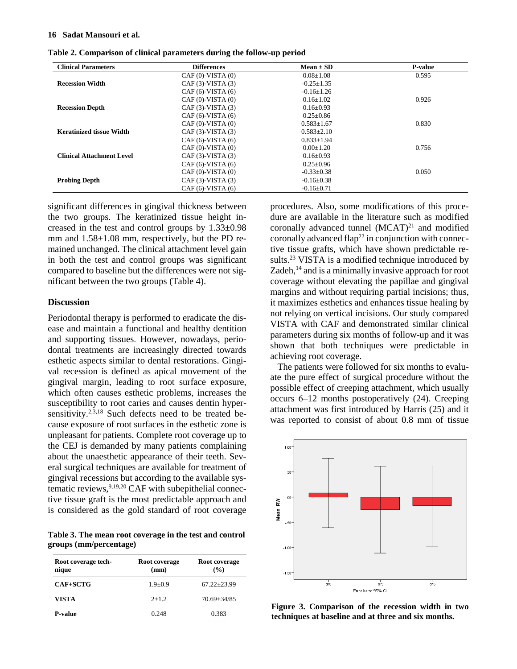#### **16 Sadat Mansouri et al.**

| <b>Clinical Parameters</b>       | <b>Differences</b> | $Mean \pm SD$    | <b>P-value</b> |
|----------------------------------|--------------------|------------------|----------------|
|                                  | $CAF(0)-VISTA(0)$  | $0.08 \pm 1.08$  | 0.595          |
| <b>Recession Width</b>           | $CAF(3)-VISTA(3)$  | $-0.25+1.35$     |                |
|                                  | $CAF(6)-VISTA(6)$  | $-0.16 \pm 1.26$ |                |
|                                  | $CAF(0)-VISTA(0)$  | $0.16 \pm 1.02$  | 0.926          |
| <b>Recession Depth</b>           | $CAF(3)-VISTA(3)$  | $0.16 \pm 0.93$  |                |
|                                  | $CAF(6)-VISTA(6)$  | $0.25 + 0.86$    |                |
|                                  | $CAF(0)-VISTA(0)$  | $0.583 \pm 1.67$ | 0.830          |
| <b>Keratinized tissue Width</b>  | $CAF(3)-VISTA(3)$  | $0.583 + 2.10$   |                |
|                                  | $CAF(6)-VISTA(6)$  | $0.833+1.94$     |                |
|                                  | $CAF(0)-VISTA(0)$  | $0.00 \pm 1.20$  | 0.756          |
| <b>Clinical Attachment Level</b> | $CAF(3)-VISTA(3)$  | $0.16 \pm 0.93$  |                |
|                                  | $CAF(6)-VISTA(6)$  | $0.25 + 0.96$    |                |
|                                  | $CAF(0)-VISTA(0)$  | $-0.33 \pm 0.38$ | 0.050          |
| <b>Probing Depth</b>             | $CAF(3)-VISTA(3)$  | $-0.16 \pm 0.38$ |                |
|                                  | $CAF(6)-VISTA(6)$  | $-0.16 \pm 0.71$ |                |

**Table 2. Comparison of clinical parameters during the follow-up period**

significant differences in gingival thickness between the two groups. The keratinized tissue height increased in the test and control groups by 1.33±0.98 mm and  $1.58\pm1.08$  mm, respectively, but the PD remained unchanged. The clinical attachment level gain in both the test and control groups was significant compared to baseline but the differences were not significant between the two groups (Table 4).

#### **Discussion**

Periodontal therapy is performed to eradicate the disease and maintain a functional and healthy dentition and supporting tissues. However, nowadays, periodontal treatments are increasingly directed towards esthetic aspects similar to dental restorations. Gingival recession is defined as apical movement of the gingival margin, leading to root surface exposure, which often causes esthetic problems, increases the susceptibility to root caries and causes dentin hypersensitivity.<sup>2,3,18</sup> Such defects need to be treated because exposure of root surfaces in the esthetic zone is unpleasant for patients. Complete root coverage up to the CEJ is demanded by many patients complaining about the unaesthetic appearance of their teeth. Several surgical techniques are available for treatment of gingival recessions but according to the available systematic reviews, 9,19,20 CAF with subepithelial connective tissue graft is the most predictable approach and is considered as the gold standard of root coverage

**Table 3. The mean root coverage in the test and control groups (mm/percentage)**

| Root coverage tech-<br>nique | Root coverage<br>(mm) | Root coverage<br>$\frac{9}{6}$ |  |
|------------------------------|-----------------------|--------------------------------|--|
| <b>CAF+SCTG</b>              | $1.9 + 0.9$           | $67.22 + 23.99$                |  |
| VISTA                        | $2+1.2$               | $70.69 + 34/85$                |  |
| <b>P-value</b>               | 0.248                 | 0.383                          |  |

procedures. Also, some modifications of this procedure are available in the literature such as modified coronally advanced tunnel (MCAT)<sup>21</sup> and modified coronally advanced flap<sup>22</sup> in conjunction with connective tissue grafts, which have shown predictable results. <sup>23</sup> VISTA is a modified technique introduced by Zadeh, <sup>14</sup> and is a minimally invasive approach for root coverage without elevating the papillae and gingival margins and without requiring partial incisions; thus, it maximizes esthetics and enhances tissue healing by not relying on vertical incisions. Our study compared VISTA with CAF and demonstrated similar clinical parameters during six months of follow-up and it was shown that both techniques were predictable in achieving root coverage.

The patients were followed for six months to evaluate the pure effect of surgical procedure without the possible effect of creeping attachment, which usually occurs 6‒12 months postoperatively (24). Creeping attachment was first introduced by Harris (25) and it was reported to consist of about 0.8 mm of tissue



**Figure 3. Comparison of the recession width in two techniques at baseline and at three and six months.**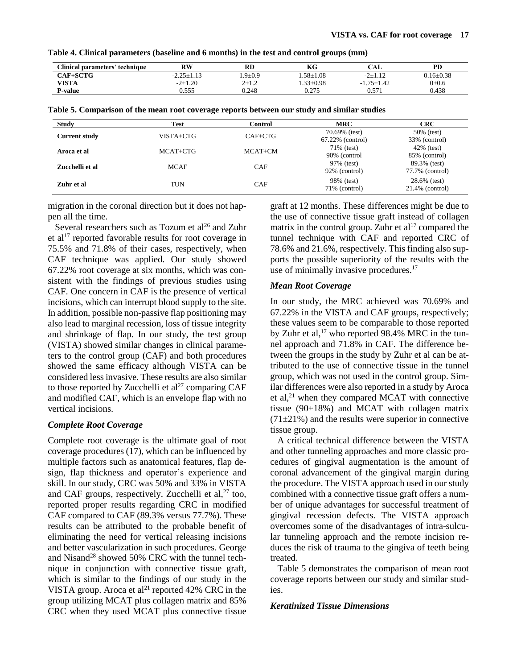| Clinical parameters' technique | RW               | RD         | КG              | CAL              | <b>PD</b>       |
|--------------------------------|------------------|------------|-----------------|------------------|-----------------|
| CAF+SCTG-                      | $-2.25 \pm 1.13$ | $.9 + 0.9$ | $.58 + 1.08$    | $-2+1.12$        | $0.16 \pm 0.38$ |
| VISTA                          | $-2+1.20$        | $2 + 1.2$  | $1.33 \pm 0.98$ | $-1.75 \pm 1.42$ | $0 \pm 0.6$     |
| <b>P-value</b>                 | 0.555            | 0.248      | 0.275           | 0.571            | 0.438           |

|  |  | Table 4. Clinical parameters (baseline and 6 months) in the test and control groups (mm) |  |
|--|--|------------------------------------------------------------------------------------------|--|
|--|--|------------------------------------------------------------------------------------------|--|

| Table 5. Comparison of the mean root coverage reports between our study and similar studies |  |  |  |  |  |
|---------------------------------------------------------------------------------------------|--|--|--|--|--|
|---------------------------------------------------------------------------------------------|--|--|--|--|--|

| Study                | <b>Test</b> | Control    | <b>MRC</b>                        | <b>CRC</b>                         |
|----------------------|-------------|------------|-----------------------------------|------------------------------------|
| <b>Current study</b> | VISTA+CTG   | $CAF+CTG$  | 70.69% (test)<br>67.22% (control) | 50% (test)<br>33% (control)        |
| Aroca et al          | MCAT+CTG    | $MCAT+CM$  | 71% (test)<br>90% (control        | $42\%$ (test)<br>85% (control)     |
| Zucchelli et al      | <b>MCAF</b> | <b>CAF</b> | 97% (test)<br>92% (control)       | 89.3% (test)<br>77.7% (control)    |
| Zuhr et al           | <b>TUN</b>  | <b>CAF</b> | 98% (test)<br>71\% (control)      | 28.6% (test)<br>$21.4\%$ (control) |

migration in the coronal direction but it does not happen all the time.

Several researchers such as Tozum et  $al^{26}$  and Zuhr et al<sup>17</sup> reported favorable results for root coverage in 75.5% and 71.8% of their cases, respectively, when CAF technique was applied. Our study showed 67.22% root coverage at six months, which was consistent with the findings of previous studies using CAF. One concern in CAF is the presence of vertical incisions, which can interrupt blood supply to the site. In addition, possible non-passive flap positioning may also lead to marginal recession, loss of tissue integrity and shrinkage of flap. In our study, the test group (VISTA) showed similar changes in clinical parameters to the control group (CAF) and both procedures showed the same efficacy although VISTA can be considered less invasive. These results are also similar to those reported by Zucchelli et  $al^{27}$  comparing CAF and modified CAF, which is an envelope flap with no vertical incisions.

## *Complete Root Coverage*

Complete root coverage is the ultimate goal of root coverage procedures (17), which can be influenced by multiple factors such as anatomical features, flap design, flap thickness and operator's experience and skill. In our study, CRC was 50% and 33% in VISTA and CAF groups, respectively. Zucchelli et al, <sup>27</sup> too, reported proper results regarding CRC in modified CAF compared to CAF (89.3% versus 77.7%). These results can be attributed to the probable benefit of eliminating the need for vertical releasing incisions and better vascularization in such procedures. George and Nisand<sup>28</sup> showed 50% CRC with the tunnel technique in conjunction with connective tissue graft, which is similar to the findings of our study in the VISTA group. Aroca et al<sup>21</sup> reported 42% CRC in the group utilizing MCAT plus collagen matrix and 85% CRC when they used MCAT plus connective tissue

graft at 12 months. These differences might be due to the use of connective tissue graft instead of collagen matrix in the control group. Zuhr et al<sup>17</sup> compared the tunnel technique with CAF and reported CRC of 78.6% and 21.6%, respectively. This finding also supports the possible superiority of the results with the use of minimally invasive procedures. 17

#### *Mean Root Coverage*

In our study, the MRC achieved was 70.69% and 67.22% in the VISTA and CAF groups, respectively; these values seem to be comparable to those reported by Zuhr et al, $^{17}$  who reported 98.4% MRC in the tunnel approach and 71.8% in CAF. The difference between the groups in the study by Zuhr et al can be attributed to the use of connective tissue in the tunnel group, which was not used in the control group. Similar differences were also reported in a study by Aroca et al, $^{21}$  when they compared MCAT with connective tissue ( $90\pm18\%$ ) and MCAT with collagen matrix  $(71\pm21\%)$  and the results were superior in connective tissue group.

A critical technical difference between the VISTA and other tunneling approaches and more classic procedures of gingival augmentation is the amount of coronal advancement of the gingival margin during the procedure. The VISTA approach used in our study combined with a connective tissue graft offers a number of unique advantages for successful treatment of gingival recession defects. The VISTA approach overcomes some of the disadvantages of intra-sulcular tunneling approach and the remote incision reduces the risk of trauma to the gingiva of teeth being treated.

Table 5 demonstrates the comparison of mean root coverage reports between our study and similar studies.

#### *Keratinized Tissue Dimensions*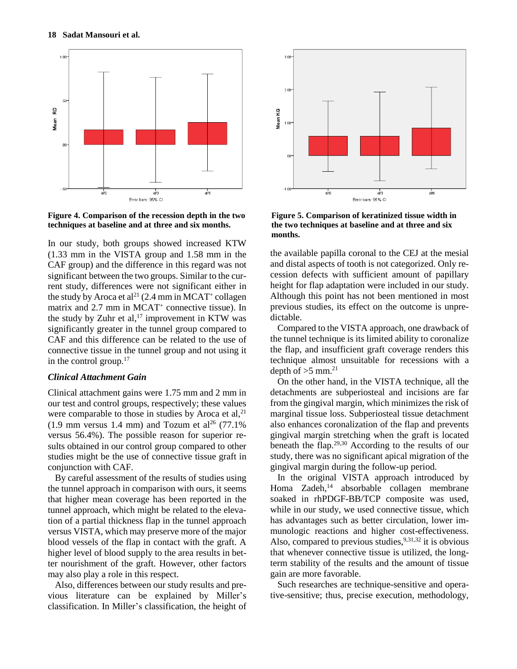

**Figure 4. Comparison of the recession depth in the two techniques at baseline and at three and six months.**

In our study, both groups showed increased KTW (1.33 mm in the VISTA group and 1.58 mm in the CAF group) and the difference in this regard was not significant between the two groups. Similar to the current study, differences were not significant either in the study by Aroca et al<sup>21</sup> (2.4 mm in MCAT<sup>+</sup> collagen matrix and 2.7 mm in MCAT<sup>+</sup> connective tissue). In the study by Zuhr et al, $^{17}$  improvement in KTW was significantly greater in the tunnel group compared to CAF and this difference can be related to the use of connective tissue in the tunnel group and not using it in the control group.<sup>17</sup>

#### *Clinical Attachment Gain*

Clinical attachment gains were 1.75 mm and 2 mm in our test and control groups, respectively; these values were comparable to those in studies by Aroca et al,<sup>21</sup>  $(1.9 \text{ mm}$  versus 1.4 mm) and Tozum et al<sup>26</sup> (77.1%) versus 56.4%). The possible reason for superior results obtained in our control group compared to other studies might be the use of connective tissue graft in conjunction with CAF.

By careful assessment of the results of studies using the tunnel approach in comparison with ours, it seems that higher mean coverage has been reported in the tunnel approach, which might be related to the elevation of a partial thickness flap in the tunnel approach versus VISTA, which may preserve more of the major blood vessels of the flap in contact with the graft. A higher level of blood supply to the area results in better nourishment of the graft. However, other factors may also play a role in this respect.

Also, differences between our study results and previous literature can be explained by Miller's classification. In Miller's classification, the height of



**Figure 5. Comparison of keratinized tissue width in the two techniques at baseline and at three and six months.**

the available papilla coronal to the CEJ at the mesial and distal aspects of tooth is not categorized. Only recession defects with sufficient amount of papillary height for flap adaptation were included in our study. Although this point has not been mentioned in most previous studies, its effect on the outcome is unpredictable.

Compared to the VISTA approach, one drawback of the tunnel technique is its limited ability to coronalize the flap, and insufficient graft coverage renders this technique almost unsuitable for recessions with a depth of  $>5$  mm.<sup>21</sup>

On the other hand, in the VISTA technique, all the detachments are subperiosteal and incisions are far from the gingival margin, which minimizes the risk of marginal tissue loss. Subperiosteal tissue detachment also enhances coronalization of the flap and prevents gingival margin stretching when the graft is located beneath the flap. 29,30 According to the results of our study, there was no significant apical migration of the gingival margin during the follow-up period.

In the original VISTA approach introduced by Homa Zadeh, <sup>14</sup> absorbable collagen membrane soaked in rhPDGF-BB/TCP composite was used, while in our study, we used connective tissue, which has advantages such as better circulation, lower immunologic reactions and higher cost-effectiveness. Also, compared to previous studies,  $9,31,32$  it is obvious that whenever connective tissue is utilized, the longterm stability of the results and the amount of tissue gain are more favorable.

Such researches are technique-sensitive and operative-sensitive; thus, precise execution, methodology,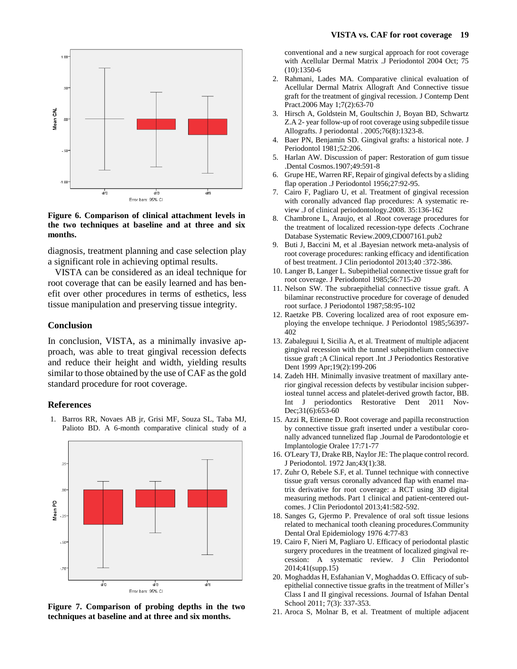

**Figure 6. Comparison of clinical attachment levels in the two techniques at baseline and at three and six months.**

diagnosis, treatment planning and case selection play a significant role in achieving optimal results.

VISTA can be considered as an ideal technique for root coverage that can be easily learned and has benefit over other procedures in terms of esthetics, less tissue manipulation and preserving tissue integrity.

#### **Conclusion**

In conclusion, VISTA, as a minimally invasive approach, was able to treat gingival recession defects and reduce their height and width, yielding results similar to those obtained by the use of CAF asthe gold standard procedure for root coverage.

#### **References**

1. Barros RR, Novaes AB jr, Grisi MF, Souza SL, Taba MJ, Palioto BD. A 6-month comparative clinical study of a



**Figure 7. Comparison of probing depths in the two techniques at baseline and at three and six months.**

conventional and a new surgical approach for root coverage with Acellular Dermal Matrix .J Periodontol 2004 Oct; 75 (10):1350-6

- 2. Rahmani, Lades MA. Comparative clinical evaluation of Acellular Dermal Matrix Allograft And Connective tissue graft for the treatment of gingival recession. J Contemp Dent Pract.2006 May 1;7(2):63-70
- 3. Hirsch A, Goldstein M, Goultschin J, Boyan BD, Schwartz Z.A 2- year follow-up of root coverage using subpedile tissue Allografts. J periodontal . 2005;76(8):1323-8.
- 4. Baer PN, Benjamin SD. Gingival grafts: a historical note. J Periodontol 1981;52:206.
- 5. Harlan AW. Discussion of paper: Restoration of gum tissue .Dental Cosmos.1907;49:591-8
- 6. Grupe HE, Warren RF, Repair of gingival defects by a sliding flap operation .J Periodontol 1956;27:92-95.
- 7. Cairo F, Pagliaro U, et al. Treatment of gingival recession with coronally advanced flap procedures: A systematic review .J of clinical periodontology.2008. 35:136-162
- 8. Chambrone L, Araujo, et al .Root coverage procedures for the treatment of localized recession-type defects .Cochrane Database Systematic Review.2009,CD007161.pub2
- 9. Buti J, Baccini M, et al .Bayesian network meta-analysis of root coverage procedures: ranking efficacy and identification of best treatment. J Clin periodontol 2013;40 :372-386.
- 10. Langer B, Langer L. Subepithelial connective tissue graft for root coverage. J Periodontol 1985;56:715-20
- 11. Nelson SW. The subraepithelial connective tissue graft. A bilaminar reconstructive procedure for coverage of denuded root surface. J Periodontol 1987;58:95-102
- 12. Raetzke PB. Covering localized area of root exposure employing the envelope technique. J Periodontol 1985;56397- 402
- 13. Zabaleguui I, Sicilia A, et al. Treatment of multiple adjacent gingival recession with the tunnel subepithelium connective tissue graft ;A Clinical report .Int .J Periodontics Restorative Dent 1999 Apr;19(2):199-206
- 14. Zadeh HH. Minimally invasive treatment of maxillary anterior gingival recession defects by vestibular incision subperiosteal tunnel access and platelet-derived growth factor, BB. Int J periodontics Restorative Dent 2011 Nov-Dec;31(6):653-60
- 15. Azzi R, Etienne D. Root coverage and papilla reconstruction by connective tissue graft inserted under a vestibular coronally advanced tunnelized flap .Journal de Parodontologie et Implantologie Oralee 17:71-77
- 16. O'Leary TJ, Drake RB, Naylor JE: The plaque control record. J Periodontol. 1972 Jan;43(1):38.
- 17. Zuhr O, Rebele S.F, et al. Tunnel technique with connective tissue graft versus coronally advanced flap with enamel matrix derivative for root coverage: a RCT using 3D digital measuring methods. Part 1 clinical and patient-centered outcomes. J Clin Periodontol 2013;41:582-592.
- 18. Sanges G, Gjermo P. Prevalence of oral soft tissue lesions related to mechanical tooth cleaning procedures.Community Dental Oral Epidemiology 1976 4:77-83
- 19. Cairo F, Nieri M, Pagliaro U. Efficacy of periodontal plastic surgery procedures in the treatment of localized gingival recession: A systematic review. J Clin Periodontol 2014;41(supp.15)
- 20. Moghaddas H, Esfahanian V, Moghaddas O. Efficacy of subepithelial connective tissue grafts in the treatment of Miller's Class I and II gingival recessions. Journal of Isfahan Dental School 2011; 7(3): 337-353.
- 21. Aroca S, Molnar B, et al. Treatment of multiple adjacent